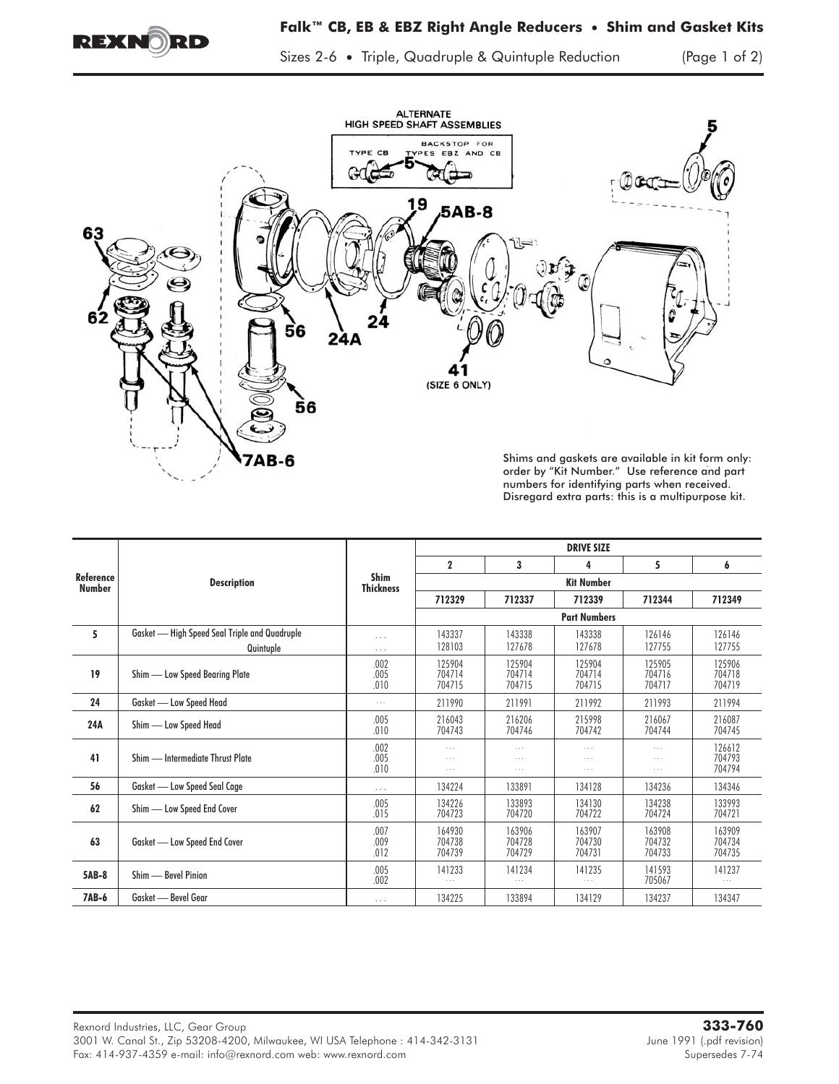

Sizes 2-6 **•** Triple, Quadruple & Quintuple Reduction (Page 1 of 2)



numbers for identifying parts when received. Disregard extra parts: this is a multipurpose kit.

| Reference<br>Number | <b>Description</b>                            | Shim<br><b>Thickness</b> | <b>DRIVE SIZE</b>                |                                  |                                              |                                              |                                |
|---------------------|-----------------------------------------------|--------------------------|----------------------------------|----------------------------------|----------------------------------------------|----------------------------------------------|--------------------------------|
|                     |                                               |                          | $\mathbf{2}$                     | 3                                | 4                                            | 5                                            | 6                              |
|                     |                                               |                          | <b>Kit Number</b>                |                                  |                                              |                                              |                                |
|                     |                                               |                          | 712329                           | 712337                           | 712339                                       | 712344                                       | 712349                         |
|                     |                                               |                          | <b>Part Numbers</b>              |                                  |                                              |                                              |                                |
| 5                   | Gasket - High Speed Seal Triple and Quadruple | $\cdots$                 | 143337                           | 143338                           | 143338                                       | 126146                                       | 126146                         |
|                     | Quintuple                                     | $\cdots$                 | 128103                           | 127678                           | 127678                                       | 127755                                       | 127755                         |
| 19                  | Shim - Low Speed Bearing Plate                | .002                     | 125904                           | 125904                           | 125904                                       | 125905                                       | 125906                         |
|                     |                                               | .005<br>.010             | 704714<br>704715                 | 704714<br>704715                 | 704714<br>704715                             | 704716<br>704717                             | 704718<br>704719               |
| 24                  | Gasket - Low Speed Head                       | $\cdots$                 | 211990                           | 211991                           | 211992                                       | 211993                                       | 211994                         |
| 24A                 | Shim - Low Speed Head                         | .005<br>.010             | 216043<br>704743                 | 216206<br>704746                 | 215998<br>704742                             | 216067<br>704744                             | 216087<br>704745               |
| 41                  | Shim — Intermediate Thrust Plate              | .002<br>.005<br>.010     | $\cdots$<br>$\cdots$<br>$\cdots$ | $\cdots$<br>$\cdots$<br>$\cdots$ | $\cdots$<br>$\cdots$<br>$\sim$ $\sim$ $\sim$ | $\cdots$<br>$\cdots$<br>$\sim$ $\sim$ $\sim$ | 126612<br>704793<br>704794     |
| 56                  | Gasket - Low Speed Seal Cage                  | $\cdots$                 | 134224                           | 133891                           | 134128                                       | 134236                                       | 134346                         |
| 62                  | Shim - Low Speed End Cover                    | .005<br>.015             | 134226<br>704723                 | 133893<br>704720                 | 134130<br>704722                             | 134238<br>704724                             | 133993<br>704721               |
| 63                  | Gasket - Low Speed End Cover                  | .007<br>.009<br>.012     | 164930<br>704738<br>704739       | 163906<br>704728<br>704729       | 163907<br>704730<br>704731                   | 163908<br>704732<br>704733                   | 163909<br>704734<br>704735     |
| 5AB-8               | Shim - Bevel Pinion                           | .005<br>.002             | 141233<br>$\cdots$               | 141234<br>$\sim$ $\sim$ $\sim$   | 141235<br>$\sim$ $\sim$ $\sim$               | 141593<br>705067                             | 141237<br>$\sim$ $\sim$ $\sim$ |
| <b>7AB-6</b>        | Gasket - Bevel Gear                           | $\cdots$                 | 134225                           | 133894                           | 134129                                       | 134237                                       | 134347                         |